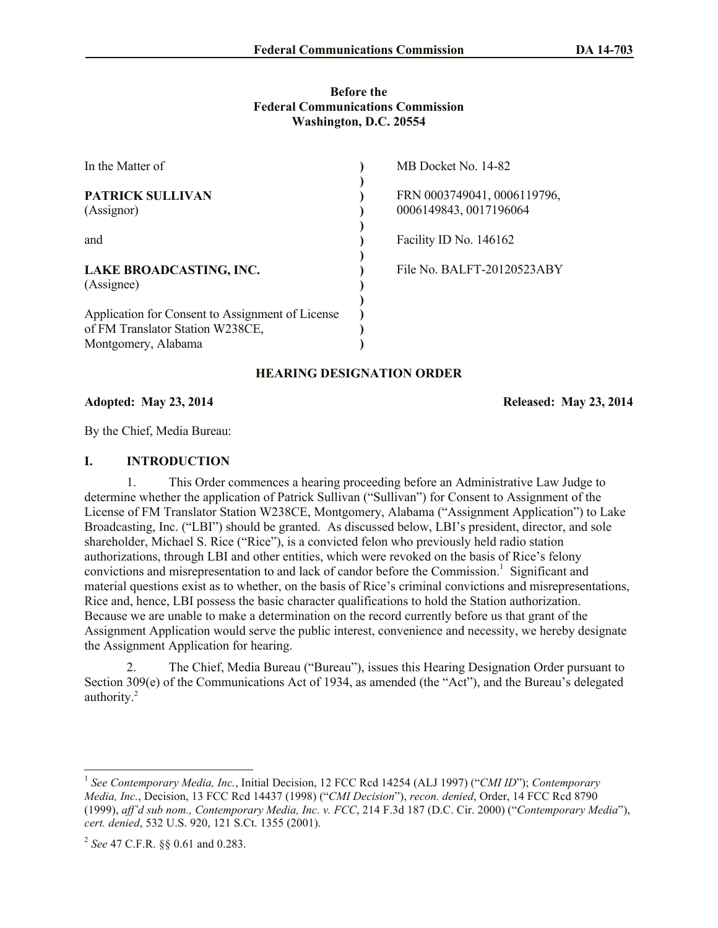### **Before the Federal Communications Commission Washington, D.C. 20554**

| In the Matter of                                                                                            | MB Docket No. 14-82                                   |
|-------------------------------------------------------------------------------------------------------------|-------------------------------------------------------|
| <b>PATRICK SULLIVAN</b><br>(Assignor)                                                                       | FRN 0003749041, 0006119796,<br>0006149843, 0017196064 |
| and                                                                                                         | Facility ID No. 146162                                |
| LAKE BROADCASTING, INC.<br>(Assignee)                                                                       | File No. BALFT-20120523ABY                            |
| Application for Consent to Assignment of License<br>of FM Translator Station W238CE,<br>Montgomery, Alabama |                                                       |

# **HEARING DESIGNATION ORDER**

**Adopted: May 23, 2014 Released: May 23, 2014**

By the Chief, Media Bureau:

### **I. INTRODUCTION**

1. This Order commences a hearing proceeding before an Administrative Law Judge to determine whether the application of Patrick Sullivan ("Sullivan") for Consent to Assignment of the License of FM Translator Station W238CE, Montgomery, Alabama ("Assignment Application") to Lake Broadcasting, Inc. ("LBI") should be granted. As discussed below, LBI's president, director, and sole shareholder, Michael S. Rice ("Rice"), is a convicted felon who previously held radio station authorizations, through LBI and other entities, which were revoked on the basis of Rice's felony convictions and misrepresentation to and lack of candor before the Commission.<sup>1</sup> Significant and material questions exist as to whether, on the basis of Rice's criminal convictions and misrepresentations, Rice and, hence, LBI possess the basic character qualifications to hold the Station authorization. Because we are unable to make a determination on the record currently before us that grant of the Assignment Application would serve the public interest, convenience and necessity, we hereby designate the Assignment Application for hearing.

2. The Chief, Media Bureau ("Bureau"), issues this Hearing Designation Order pursuant to Section 309(e) of the Communications Act of 1934, as amended (the "Act"), and the Bureau's delegated authority.<sup>2</sup>

l <sup>1</sup> See Contemporary Media, Inc., Initial Decision, 12 FCC Rcd 14254 (ALJ 1997) ("CMI ID"); Contemporary *Media, Inc.*, Decision, 13 FCC Rcd 14437 (1998) ("*CMI Decision*"), *recon. denied*, Order, 14 FCC Rcd 8790 (1999), *aff'd sub nom., Contemporary Media, Inc. v. FCC*, 214 F.3d 187 (D.C. Cir. 2000) ("*Contemporary Media*"), *cert. denied*, 532 U.S. 920, 121 S.Ct. 1355 (2001).

<sup>2</sup> *See* 47 C.F.R. §§ 0.61 and 0.283.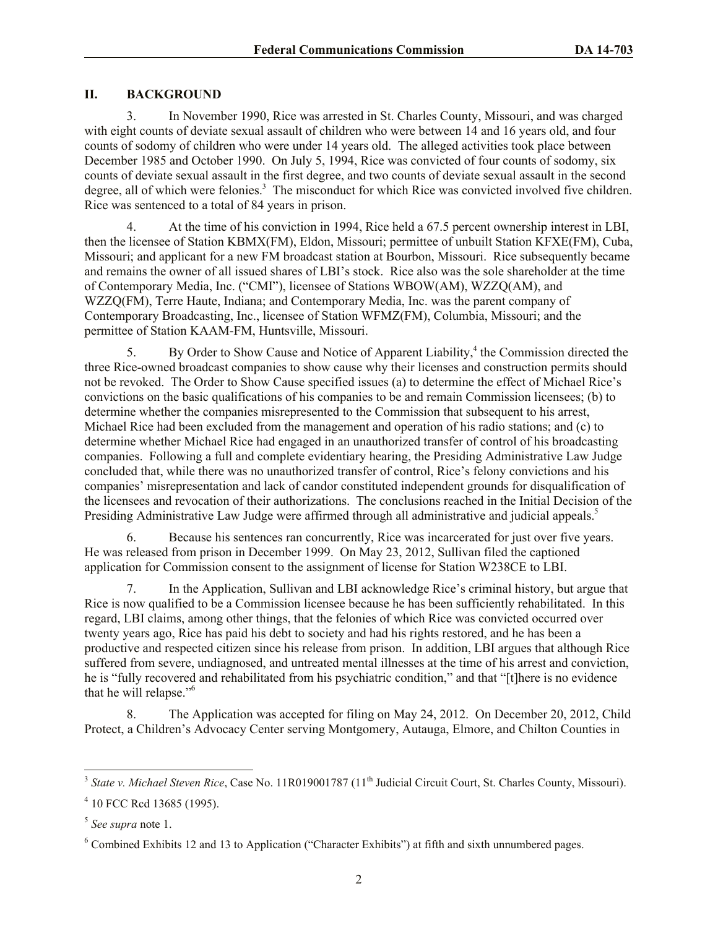# **II. BACKGROUND**

3. In November 1990, Rice was arrested in St. Charles County, Missouri, and was charged with eight counts of deviate sexual assault of children who were between 14 and 16 years old, and four counts of sodomy of children who were under 14 years old. The alleged activities took place between December 1985 and October 1990. On July 5, 1994, Rice was convicted of four counts of sodomy, six counts of deviate sexual assault in the first degree, and two counts of deviate sexual assault in the second degree, all of which were felonies.<sup>3</sup> The misconduct for which Rice was convicted involved five children. Rice was sentenced to a total of 84 years in prison.

4. At the time of his conviction in 1994, Rice held a 67.5 percent ownership interest in LBI, then the licensee of Station KBMX(FM), Eldon, Missouri; permittee of unbuilt Station KFXE(FM), Cuba, Missouri; and applicant for a new FM broadcast station at Bourbon, Missouri. Rice subsequently became and remains the owner of all issued shares of LBI's stock. Rice also was the sole shareholder at the time of Contemporary Media, Inc. ("CMI"), licensee of Stations WBOW(AM), WZZQ(AM), and WZZQ(FM), Terre Haute, Indiana; and Contemporary Media, Inc. was the parent company of Contemporary Broadcasting, Inc., licensee of Station WFMZ(FM), Columbia, Missouri; and the permittee of Station KAAM-FM, Huntsville, Missouri.

5. By Order to Show Cause and Notice of Apparent Liability,<sup>4</sup> the Commission directed the three Rice-owned broadcast companies to show cause why their licenses and construction permits should not be revoked. The Order to Show Cause specified issues (a) to determine the effect of Michael Rice's convictions on the basic qualifications of his companies to be and remain Commission licensees; (b) to determine whether the companies misrepresented to the Commission that subsequent to his arrest, Michael Rice had been excluded from the management and operation of his radio stations; and (c) to determine whether Michael Rice had engaged in an unauthorized transfer of control of his broadcasting companies. Following a full and complete evidentiary hearing, the Presiding Administrative Law Judge concluded that, while there was no unauthorized transfer of control, Rice's felony convictions and his companies' misrepresentation and lack of candor constituted independent grounds for disqualification of the licensees and revocation of their authorizations. The conclusions reached in the Initial Decision of the Presiding Administrative Law Judge were affirmed through all administrative and judicial appeals.<sup>5</sup>

6. Because his sentences ran concurrently, Rice was incarcerated for just over five years. He was released from prison in December 1999. On May 23, 2012, Sullivan filed the captioned application for Commission consent to the assignment of license for Station W238CE to LBI.

7. In the Application, Sullivan and LBI acknowledge Rice's criminal history, but argue that Rice is now qualified to be a Commission licensee because he has been sufficiently rehabilitated. In this regard, LBI claims, among other things, that the felonies of which Rice was convicted occurred over twenty years ago, Rice has paid his debt to society and had his rights restored, and he has been a productive and respected citizen since his release from prison. In addition, LBI argues that although Rice suffered from severe, undiagnosed, and untreated mental illnesses at the time of his arrest and conviction, he is "fully recovered and rehabilitated from his psychiatric condition," and that "[t]here is no evidence that he will relapse."<sup>6</sup>

8. The Application was accepted for filing on May 24, 2012. On December 20, 2012, Child Protect, a Children's Advocacy Center serving Montgomery, Autauga, Elmore, and Chilton Counties in

<sup>&</sup>lt;sup>3</sup> State v. Michael Steven Rice, Case No. 11R019001787 (11<sup>th</sup> Judicial Circuit Court, St. Charles County, Missouri).

<sup>4</sup> 10 FCC Rcd 13685 (1995).

<sup>5</sup> *See supra* note 1.

 $6$  Combined Exhibits 12 and 13 to Application ("Character Exhibits") at fifth and sixth unnumbered pages.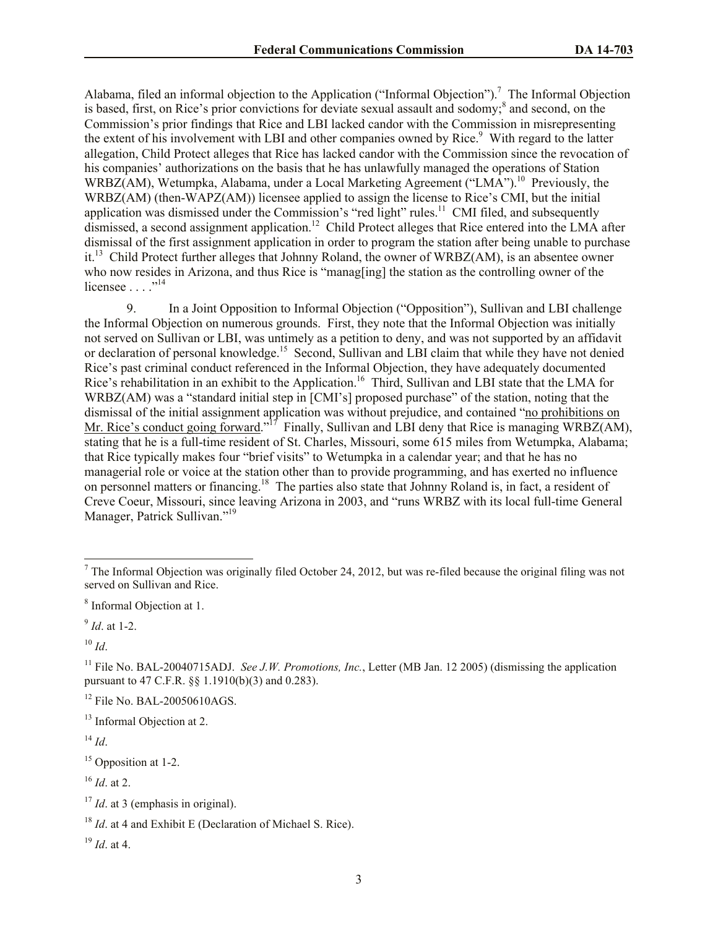Alabama, filed an informal objection to the Application ("Informal Objection").<sup>7</sup> The Informal Objection is based, first, on Rice's prior convictions for deviate sexual assault and sodomy;<sup>8</sup> and second, on the Commission's prior findings that Rice and LBI lacked candor with the Commission in misrepresenting the extent of his involvement with LBI and other companies owned by Rice.<sup>9</sup> With regard to the latter allegation, Child Protect alleges that Rice has lacked candor with the Commission since the revocation of his companies' authorizations on the basis that he has unlawfully managed the operations of Station WRBZ(AM), Wetumpka, Alabama, under a Local Marketing Agreement ("LMA").<sup>10</sup> Previously, the WRBZ(AM) (then-WAPZ(AM)) licensee applied to assign the license to Rice's CMI, but the initial application was dismissed under the Commission's "red light" rules.<sup>11</sup> CMI filed, and subsequently dismissed, a second assignment application.<sup>12</sup> Child Protect alleges that Rice entered into the LMA after dismissal of the first assignment application in order to program the station after being unable to purchase it.<sup>13</sup> Child Protect further alleges that Johnny Roland, the owner of WRBZ(AM), is an absentee owner who now resides in Arizona, and thus Rice is "manag[ing] the station as the controlling owner of the licensee  $\dots$ ."<sup>14</sup>

9. In a Joint Opposition to Informal Objection ("Opposition"), Sullivan and LBI challenge the Informal Objection on numerous grounds. First, they note that the Informal Objection was initially not served on Sullivan or LBI, was untimely as a petition to deny, and was not supported by an affidavit or declaration of personal knowledge.<sup>15</sup> Second, Sullivan and LBI claim that while they have not denied Rice's past criminal conduct referenced in the Informal Objection, they have adequately documented Rice's rehabilitation in an exhibit to the Application.<sup>16</sup> Third, Sullivan and LBI state that the LMA for WRBZ(AM) was a "standard initial step in [CMI's] proposed purchase" of the station, noting that the dismissal of the initial assignment application was without prejudice, and contained "no prohibitions on Mr. Rice's conduct going forward."<sup>17</sup> Finally, Sullivan and LBI deny that Rice is managing WRBZ(AM), stating that he is a full-time resident of St. Charles, Missouri, some 615 miles from Wetumpka, Alabama; that Rice typically makes four "brief visits" to Wetumpka in a calendar year; and that he has no managerial role or voice at the station other than to provide programming, and has exerted no influence on personnel matters or financing.<sup>18</sup> The parties also state that Johnny Roland is, in fact, a resident of Creve Coeur, Missouri, since leaving Arizona in 2003, and "runs WRBZ with its local full-time General Manager, Patrick Sullivan."<sup>19</sup>

 $\overline{\phantom{a}}$ 

<sup>16</sup> *Id*. at 2.

 $<sup>7</sup>$  The Informal Objection was originally filed October 24, 2012, but was re-filed because the original filing was not</sup> served on Sullivan and Rice.

<sup>&</sup>lt;sup>8</sup> Informal Objection at 1.

<sup>9</sup> *Id*. at 1-2.

 $10$  *Id.* 

<sup>11</sup> File No. BAL-20040715ADJ. *See J.W. Promotions, Inc.*, Letter (MB Jan. 12 2005) (dismissing the application pursuant to 47 C.F.R. §§ 1.1910(b)(3) and 0.283).

<sup>&</sup>lt;sup>12</sup> File No. BAL-20050610AGS.

<sup>&</sup>lt;sup>13</sup> Informal Objection at 2.

 $^{14}$  *Id.* 

<sup>&</sup>lt;sup>15</sup> Opposition at 1-2.

<sup>&</sup>lt;sup>17</sup> *Id*. at 3 (emphasis in original).

<sup>18</sup> *Id*. at 4 and Exhibit E (Declaration of Michael S. Rice).

<sup>19</sup> *Id*. at 4.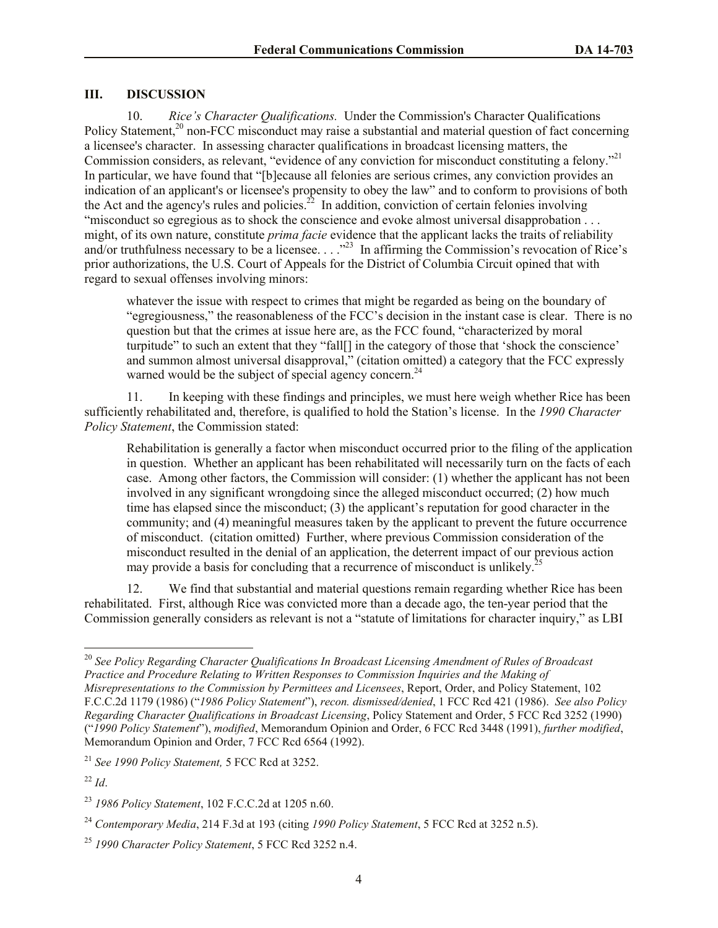#### **III. DISCUSSION**

10. *Rice's Character Qualifications.* Under the Commission's Character Qualifications Policy Statement,<sup>20</sup> non-FCC misconduct may raise a substantial and material question of fact concerning a licensee's character. In assessing character qualifications in broadcast licensing matters, the Commission considers, as relevant, "evidence of any conviction for misconduct constituting a felony."<sup>21</sup> In particular, we have found that "[b]ecause all felonies are serious crimes, any conviction provides an indication of an applicant's or licensee's propensity to obey the law" and to conform to provisions of both the Act and the agency's rules and policies.<sup>22</sup> In addition, conviction of certain felonies involving "misconduct so egregious as to shock the conscience and evoke almost universal disapprobation . . . might, of its own nature, constitute *prima facie* evidence that the applicant lacks the traits of reliability and/or truthfulness necessary to be a licensee. . . ."<sup>23</sup> In affirming the Commission's revocation of Rice's prior authorizations, the U.S. Court of Appeals for the District of Columbia Circuit opined that with regard to sexual offenses involving minors:

whatever the issue with respect to crimes that might be regarded as being on the boundary of "egregiousness," the reasonableness of the FCC's decision in the instant case is clear. There is no question but that the crimes at issue here are, as the FCC found, "characterized by moral turpitude" to such an extent that they "fall[] in the category of those that 'shock the conscience' and summon almost universal disapproval," (citation omitted) a category that the FCC expressly warned would be the subject of special agency concern.<sup>24</sup>

11. In keeping with these findings and principles, we must here weigh whether Rice has been sufficiently rehabilitated and, therefore, is qualified to hold the Station's license. In the *1990 Character Policy Statement*, the Commission stated:

Rehabilitation is generally a factor when misconduct occurred prior to the filing of the application in question. Whether an applicant has been rehabilitated will necessarily turn on the facts of each case. Among other factors, the Commission will consider: (1) whether the applicant has not been involved in any significant wrongdoing since the alleged misconduct occurred; (2) how much time has elapsed since the misconduct; (3) the applicant's reputation for good character in the community; and (4) meaningful measures taken by the applicant to prevent the future occurrence of misconduct. (citation omitted) Further, where previous Commission consideration of the misconduct resulted in the denial of an application, the deterrent impact of our previous action may provide a basis for concluding that a recurrence of misconduct is unlikely.<sup>2</sup>

12. We find that substantial and material questions remain regarding whether Rice has been rehabilitated. First, although Rice was convicted more than a decade ago, the ten-year period that the Commission generally considers as relevant is not a "statute of limitations for character inquiry," as LBI

<sup>20</sup> *See Policy Regarding Character Qualifications In Broadcast Licensing Amendment of Rules of Broadcast Practice and Procedure Relating to Written Responses to Commission Inquiries and the Making of Misrepresentations to the Commission by Permittees and Licensees*, Report, Order, and Policy Statement, 102 F.C.C.2d 1179 (1986) ("*1986 Policy Statement*"), *recon. dismissed/denied*, 1 FCC Rcd 421 (1986). *See also Policy Regarding Character Qualifications in Broadcast Licensing*, Policy Statement and Order, 5 FCC Rcd 3252 (1990) ("*1990 Policy Statement*"), *modified*, Memorandum Opinion and Order, 6 FCC Rcd 3448 (1991), *further modified*, Memorandum Opinion and Order, 7 FCC Rcd 6564 (1992).

<sup>21</sup> *See 1990 Policy Statement,* 5 FCC Rcd at 3252.

<sup>22</sup> *Id*.

<sup>23</sup> *1986 Policy Statement*, 102 F.C.C.2d at 1205 n.60.

<sup>24</sup> *Contemporary Media*, 214 F.3d at 193 (citing *1990 Policy Statement*, 5 FCC Rcd at 3252 n.5).

<sup>25</sup> *1990 Character Policy Statement*, 5 FCC Rcd 3252 n.4.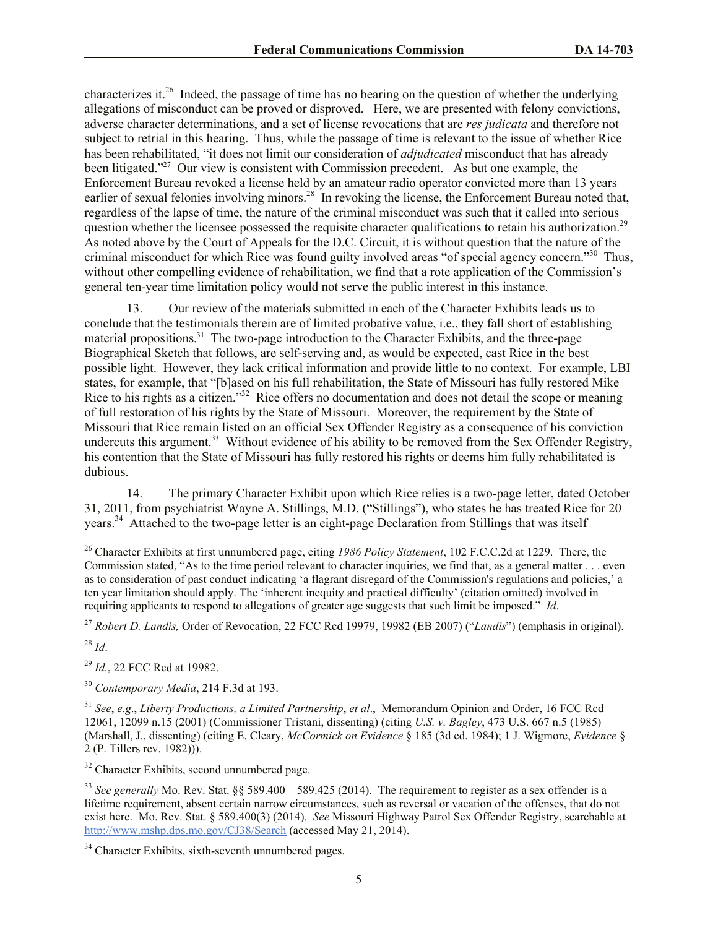characterizes it.<sup>26</sup> Indeed, the passage of time has no bearing on the question of whether the underlying allegations of misconduct can be proved or disproved. Here, we are presented with felony convictions, adverse character determinations, and a set of license revocations that are *res judicata* and therefore not subject to retrial in this hearing. Thus, while the passage of time is relevant to the issue of whether Rice has been rehabilitated, "it does not limit our consideration of *adjudicated* misconduct that has already been litigated."<sup>27</sup> Our view is consistent with Commission precedent. As but one example, the Enforcement Bureau revoked a license held by an amateur radio operator convicted more than 13 years earlier of sexual felonies involving minors.<sup>28</sup> In revoking the license, the Enforcement Bureau noted that, regardless of the lapse of time, the nature of the criminal misconduct was such that it called into serious question whether the licensee possessed the requisite character qualifications to retain his authorization.<sup>29</sup> As noted above by the Court of Appeals for the D.C. Circuit, it is without question that the nature of the criminal misconduct for which Rice was found guilty involved areas "of special agency concern."<sup>30</sup> Thus, without other compelling evidence of rehabilitation, we find that a rote application of the Commission's general ten-year time limitation policy would not serve the public interest in this instance.

13. Our review of the materials submitted in each of the Character Exhibits leads us to conclude that the testimonials therein are of limited probative value, i.e., they fall short of establishing material propositions.<sup>31</sup> The two-page introduction to the Character Exhibits, and the three-page Biographical Sketch that follows, are self-serving and, as would be expected, cast Rice in the best possible light. However, they lack critical information and provide little to no context. For example, LBI states, for example, that "[b]ased on his full rehabilitation, the State of Missouri has fully restored Mike Rice to his rights as a citizen."<sup>32</sup> Rice offers no documentation and does not detail the scope or meaning of full restoration of his rights by the State of Missouri. Moreover, the requirement by the State of Missouri that Rice remain listed on an official Sex Offender Registry as a consequence of his conviction undercuts this argument.<sup>33</sup> Without evidence of his ability to be removed from the Sex Offender Registry, his contention that the State of Missouri has fully restored his rights or deems him fully rehabilitated is dubious.

14. The primary Character Exhibit upon which Rice relies is a two-page letter, dated October 31, 2011, from psychiatrist Wayne A. Stillings, M.D. ("Stillings"), who states he has treated Rice for 20 years.<sup>34</sup> Attached to the two-page letter is an eight-page Declaration from Stillings that was itself

<sup>27</sup> *Robert D. Landis,* Order of Revocation, 22 FCC Rcd 19979, 19982 (EB 2007) ("*Landis*") (emphasis in original).

 $^{28}$  *Id*.

l

<sup>29</sup> *Id.*, 22 FCC Rcd at 19982.

<sup>30</sup> *Contemporary Media*, 214 F.3d at 193.

<sup>32</sup> Character Exhibits, second unnumbered page.

<sup>26</sup> Character Exhibits at first unnumbered page, citing *1986 Policy Statement*, 102 F.C.C.2d at 1229. There, the Commission stated, "As to the time period relevant to character inquiries, we find that, as a general matter . . . even as to consideration of past conduct indicating 'a flagrant disregard of the Commission's regulations and policies,' a ten year limitation should apply. The 'inherent inequity and practical difficulty' (citation omitted) involved in requiring applicants to respond to allegations of greater age suggests that such limit be imposed." *Id*.

<sup>31</sup> *See*, *e.g*., *Liberty Productions, a Limited Partnership*, *et al*., Memorandum Opinion and Order, 16 FCC Rcd 12061, 12099 n.15 (2001) (Commissioner Tristani, dissenting) (citing *U.S. v. Bagley*, 473 U.S. 667 n.5 (1985) (Marshall, J., dissenting) (citing E. Cleary, *McCormick on Evidence* § 185 (3d ed. 1984); 1 J. Wigmore, *Evidence* § 2 (P. Tillers rev. 1982))).

<sup>33</sup> *See generally* Mo. Rev. Stat. §§ 589.400 – 589.425 (2014). The requirement to register as a sex offender is a lifetime requirement, absent certain narrow circumstances, such as reversal or vacation of the offenses, that do not exist here. Mo. Rev. Stat. § 589.400(3) (2014). *See* Missouri Highway Patrol Sex Offender Registry, searchable at http://www.mshp.dps.mo.gov/CJ38/Search (accessed May 21, 2014).

<sup>&</sup>lt;sup>34</sup> Character Exhibits, sixth-seventh unnumbered pages.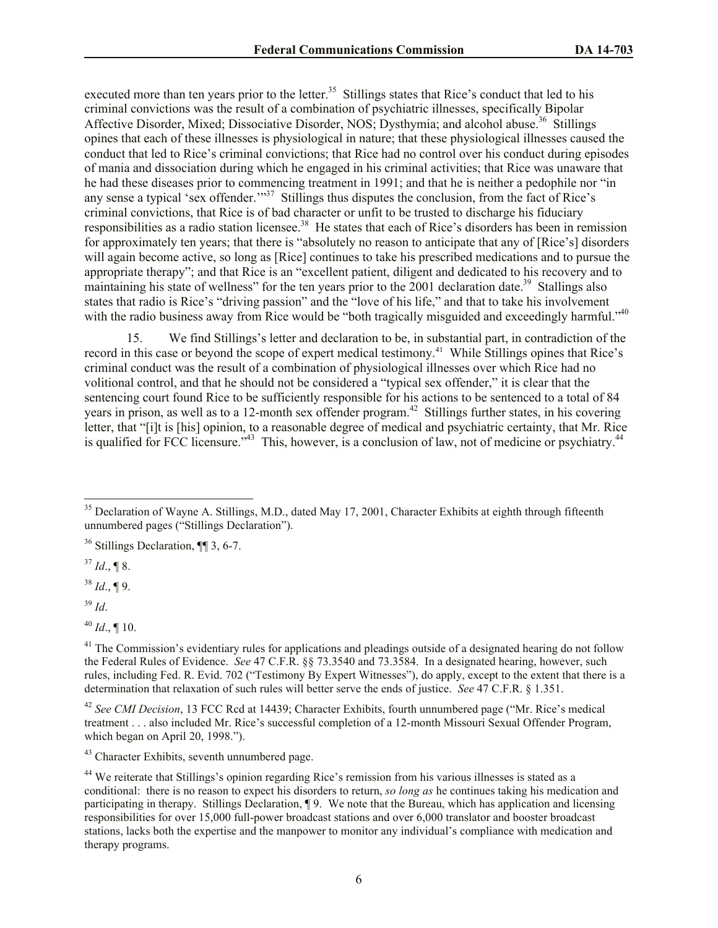executed more than ten years prior to the letter.<sup>35</sup> Stillings states that Rice's conduct that led to his criminal convictions was the result of a combination of psychiatric illnesses, specifically Bipolar Affective Disorder, Mixed; Dissociative Disorder, NOS; Dysthymia; and alcohol abuse.<sup>36</sup> Stillings opines that each of these illnesses is physiological in nature; that these physiological illnesses caused the conduct that led to Rice's criminal convictions; that Rice had no control over his conduct during episodes of mania and dissociation during which he engaged in his criminal activities; that Rice was unaware that he had these diseases prior to commencing treatment in 1991; and that he is neither a pedophile nor "in any sense a typical 'sex offender.'"<sup>37</sup> Stillings thus disputes the conclusion, from the fact of Rice's criminal convictions, that Rice is of bad character or unfit to be trusted to discharge his fiduciary responsibilities as a radio station licensee.<sup>38</sup> He states that each of Rice's disorders has been in remission for approximately ten years; that there is "absolutely no reason to anticipate that any of [Rice's] disorders will again become active, so long as [Rice] continues to take his prescribed medications and to pursue the appropriate therapy"; and that Rice is an "excellent patient, diligent and dedicated to his recovery and to maintaining his state of wellness" for the ten years prior to the 2001 declaration date.<sup>39</sup> Stallings also states that radio is Rice's "driving passion" and the "love of his life," and that to take his involvement with the radio business away from Rice would be "both tragically misguided and exceedingly harmful."<sup>40</sup>

15. We find Stillings's letter and declaration to be, in substantial part, in contradiction of the record in this case or beyond the scope of expert medical testimony.<sup>41</sup> While Stillings opines that Rice's criminal conduct was the result of a combination of physiological illnesses over which Rice had no volitional control, and that he should not be considered a "typical sex offender," it is clear that the sentencing court found Rice to be sufficiently responsible for his actions to be sentenced to a total of 84 years in prison, as well as to a 12-month sex offender program.<sup>42</sup> Stillings further states, in his covering letter, that "[i]t is [his] opinion, to a reasonable degree of medical and psychiatric certainty, that Mr. Rice is qualified for FCC licensure."<sup>43</sup> This, however, is a conclusion of law, not of medicine or psychiatry.<sup>44</sup>

 $37$  *Id.*, ¶ 8.

 $38$  *Id.*, ¶ 9.

<sup>39</sup> *Id*.

 $\overline{\phantom{a}}$ 

<sup>42</sup> *See CMI Decision*, 13 FCC Rcd at 14439; Character Exhibits, fourth unnumbered page ("Mr. Rice's medical treatment . . . also included Mr. Rice's successful completion of a 12-month Missouri Sexual Offender Program, which began on April 20, 1998.").

<sup>43</sup> Character Exhibits, seventh unnumbered page.

<sup>&</sup>lt;sup>35</sup> Declaration of Wayne A. Stillings, M.D., dated May 17, 2001, Character Exhibits at eighth through fifteenth unnumbered pages ("Stillings Declaration").

<sup>36</sup> Stillings Declaration, ¶¶ 3, 6-7.

 $^{40}$  *Id.*, ¶ 10.

 $41$  The Commission's evidentiary rules for applications and pleadings outside of a designated hearing do not follow the Federal Rules of Evidence. *See* 47 C.F.R. §§ 73.3540 and 73.3584. In a designated hearing, however, such rules, including Fed. R. Evid. 702 ("Testimony By Expert Witnesses"), do apply, except to the extent that there is a determination that relaxation of such rules will better serve the ends of justice. *See* 47 C.F.R. § 1.351.

<sup>&</sup>lt;sup>44</sup> We reiterate that Stillings's opinion regarding Rice's remission from his various illnesses is stated as a conditional: there is no reason to expect his disorders to return, *so long as* he continues taking his medication and participating in therapy. Stillings Declaration, ¶ 9. We note that the Bureau, which has application and licensing responsibilities for over 15,000 full-power broadcast stations and over 6,000 translator and booster broadcast stations, lacks both the expertise and the manpower to monitor any individual's compliance with medication and therapy programs.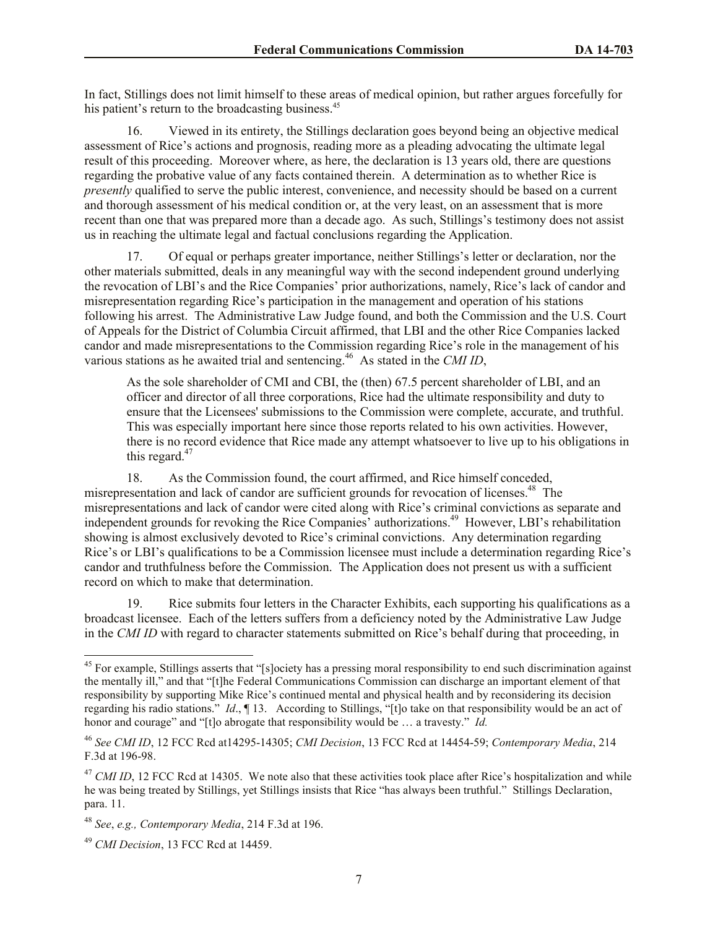In fact, Stillings does not limit himself to these areas of medical opinion, but rather argues forcefully for his patient's return to the broadcasting business.<sup>45</sup>

16. Viewed in its entirety, the Stillings declaration goes beyond being an objective medical assessment of Rice's actions and prognosis, reading more as a pleading advocating the ultimate legal result of this proceeding. Moreover where, as here, the declaration is 13 years old, there are questions regarding the probative value of any facts contained therein. A determination as to whether Rice is *presently* qualified to serve the public interest, convenience, and necessity should be based on a current and thorough assessment of his medical condition or, at the very least, on an assessment that is more recent than one that was prepared more than a decade ago. As such, Stillings's testimony does not assist us in reaching the ultimate legal and factual conclusions regarding the Application.

17. Of equal or perhaps greater importance, neither Stillings's letter or declaration, nor the other materials submitted, deals in any meaningful way with the second independent ground underlying the revocation of LBI's and the Rice Companies' prior authorizations, namely, Rice's lack of candor and misrepresentation regarding Rice's participation in the management and operation of his stations following his arrest. The Administrative Law Judge found, and both the Commission and the U.S. Court of Appeals for the District of Columbia Circuit affirmed, that LBI and the other Rice Companies lacked candor and made misrepresentations to the Commission regarding Rice's role in the management of his various stations as he awaited trial and sentencing.<sup>46</sup> As stated in the *CMI ID*,

As the sole shareholder of CMI and CBI, the (then) 67.5 percent shareholder of LBI, and an officer and director of all three corporations, Rice had the ultimate responsibility and duty to ensure that the Licensees' submissions to the Commission were complete, accurate, and truthful. This was especially important here since those reports related to his own activities. However, there is no record evidence that Rice made any attempt whatsoever to live up to his obligations in this regard. $47$ 

18. As the Commission found, the court affirmed, and Rice himself conceded, misrepresentation and lack of candor are sufficient grounds for revocation of licenses.<sup>48</sup> The misrepresentations and lack of candor were cited along with Rice's criminal convictions as separate and independent grounds for revoking the Rice Companies' authorizations.<sup>49</sup> However, LBI's rehabilitation showing is almost exclusively devoted to Rice's criminal convictions. Any determination regarding Rice's or LBI's qualifications to be a Commission licensee must include a determination regarding Rice's candor and truthfulness before the Commission. The Application does not present us with a sufficient record on which to make that determination.

19. Rice submits four letters in the Character Exhibits, each supporting his qualifications as a broadcast licensee. Each of the letters suffers from a deficiency noted by the Administrative Law Judge in the *CMI ID* with regard to character statements submitted on Rice's behalf during that proceeding, in

 $45$  For example. Stillings asserts that "[slociety has a pressing moral responsibility to end such discrimination against the mentally ill," and that "[t]he Federal Communications Commission can discharge an important element of that responsibility by supporting Mike Rice's continued mental and physical health and by reconsidering its decision regarding his radio stations." *Id*., ¶ 13. According to Stillings, "[t]o take on that responsibility would be an act of honor and courage" and "[t]o abrogate that responsibility would be … a travesty." *Id.*

<sup>46</sup> *See CMI ID*, 12 FCC Rcd at14295-14305; *CMI Decision*, 13 FCC Rcd at 14454-59; *Contemporary Media*, 214 F.3d at 196-98.

<sup>&</sup>lt;sup>47</sup> *CMI ID*, 12 FCC Rcd at 14305. We note also that these activities took place after Rice's hospitalization and while he was being treated by Stillings, yet Stillings insists that Rice "has always been truthful." Stillings Declaration, para. 11.

<sup>48</sup> *See*, *e.g., Contemporary Media*, 214 F.3d at 196.

<sup>49</sup> *CMI Decision*, 13 FCC Rcd at 14459.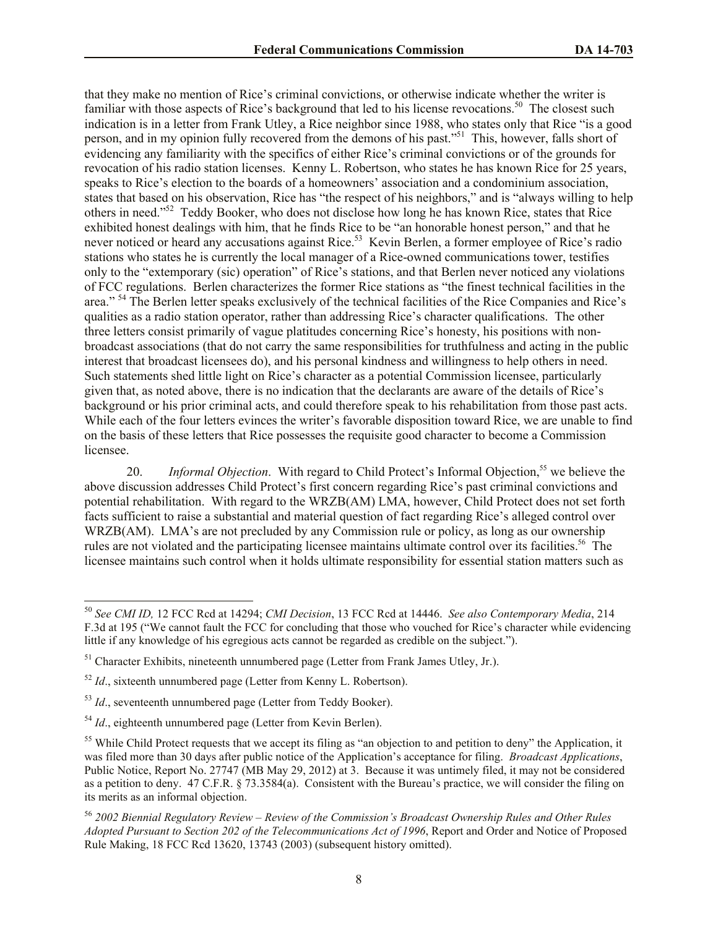that they make no mention of Rice's criminal convictions, or otherwise indicate whether the writer is familiar with those aspects of Rice's background that led to his license revocations.<sup>50</sup> The closest such indication is in a letter from Frank Utley, a Rice neighbor since 1988, who states only that Rice "is a good person, and in my opinion fully recovered from the demons of his past."<sup>51</sup> This, however, falls short of evidencing any familiarity with the specifics of either Rice's criminal convictions or of the grounds for revocation of his radio station licenses. Kenny L. Robertson, who states he has known Rice for 25 years, speaks to Rice's election to the boards of a homeowners' association and a condominium association, states that based on his observation, Rice has "the respect of his neighbors," and is "always willing to help others in need."<sup>52</sup> Teddy Booker, who does not disclose how long he has known Rice, states that Rice exhibited honest dealings with him, that he finds Rice to be "an honorable honest person," and that he never noticed or heard any accusations against Rice.<sup>53</sup> Kevin Berlen, a former employee of Rice's radio stations who states he is currently the local manager of a Rice-owned communications tower, testifies only to the "extemporary (sic) operation" of Rice's stations, and that Berlen never noticed any violations of FCC regulations. Berlen characterizes the former Rice stations as "the finest technical facilities in the area." <sup>54</sup> The Berlen letter speaks exclusively of the technical facilities of the Rice Companies and Rice's qualities as a radio station operator, rather than addressing Rice's character qualifications. The other three letters consist primarily of vague platitudes concerning Rice's honesty, his positions with nonbroadcast associations (that do not carry the same responsibilities for truthfulness and acting in the public interest that broadcast licensees do), and his personal kindness and willingness to help others in need. Such statements shed little light on Rice's character as a potential Commission licensee, particularly given that, as noted above, there is no indication that the declarants are aware of the details of Rice's background or his prior criminal acts, and could therefore speak to his rehabilitation from those past acts. While each of the four letters evinces the writer's favorable disposition toward Rice, we are unable to find on the basis of these letters that Rice possesses the requisite good character to become a Commission licensee.

20. *Informal Objection*. With regard to Child Protect's Informal Objection,<sup>55</sup> we believe the above discussion addresses Child Protect's first concern regarding Rice's past criminal convictions and potential rehabilitation. With regard to the WRZB(AM) LMA, however, Child Protect does not set forth facts sufficient to raise a substantial and material question of fact regarding Rice's alleged control over WRZB(AM). LMA's are not precluded by any Commission rule or policy, as long as our ownership rules are not violated and the participating licensee maintains ultimate control over its facilities.<sup>56</sup> The licensee maintains such control when it holds ultimate responsibility for essential station matters such as

<sup>50</sup> *See CMI ID,* 12 FCC Rcd at 14294; *CMI Decision*, 13 FCC Rcd at 14446. *See also Contemporary Media*, 214 F.3d at 195 ("We cannot fault the FCC for concluding that those who vouched for Rice's character while evidencing little if any knowledge of his egregious acts cannot be regarded as credible on the subject.").

 $<sup>51</sup>$  Character Exhibits, nineteenth unnumbered page (Letter from Frank James Utley, Jr.).</sup>

 $52$  *Id.*, sixteenth unnumbered page (Letter from Kenny L. Robertson).

<sup>53</sup> *Id*., seventeenth unnumbered page (Letter from Teddy Booker).

<sup>&</sup>lt;sup>54</sup> *Id.*, eighteenth unnumbered page (Letter from Kevin Berlen).

<sup>&</sup>lt;sup>55</sup> While Child Protect requests that we accept its filing as "an objection to and petition to deny" the Application, it was filed more than 30 days after public notice of the Application's acceptance for filing. *Broadcast Applications*, Public Notice, Report No. 27747 (MB May 29, 2012) at 3. Because it was untimely filed, it may not be considered as a petition to deny. 47 C.F.R. § 73.3584(a). Consistent with the Bureau's practice, we will consider the filing on its merits as an informal objection.

<sup>56</sup> *2002 Biennial Regulatory Review – Review of the Commission's Broadcast Ownership Rules and Other Rules Adopted Pursuant to Section 202 of the Telecommunications Act of 1996*, Report and Order and Notice of Proposed Rule Making, 18 FCC Rcd 13620, 13743 (2003) (subsequent history omitted).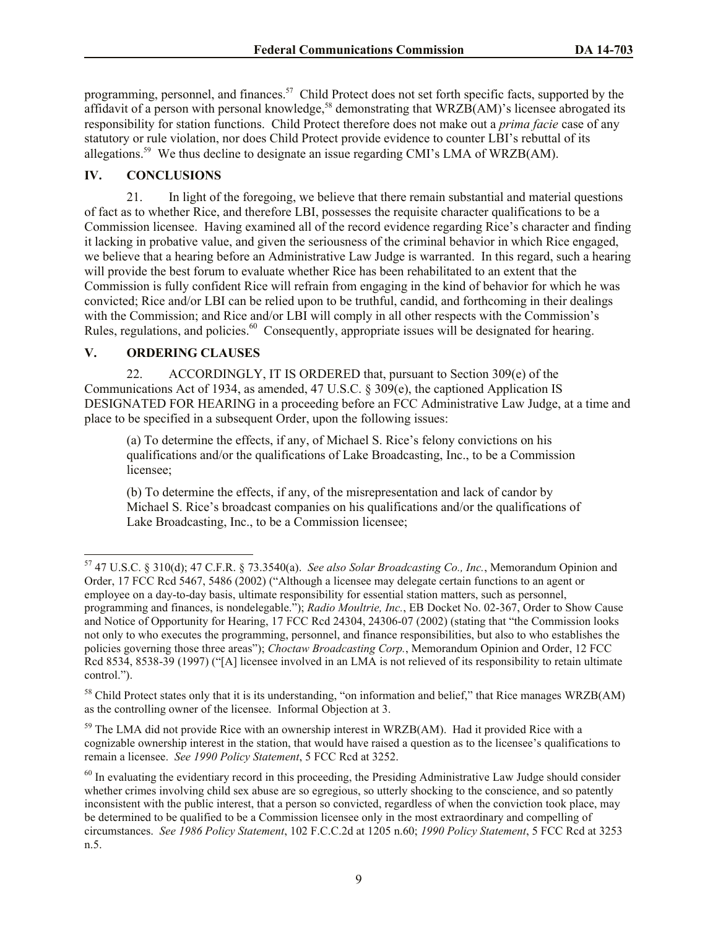programming, personnel, and finances.<sup>57</sup> Child Protect does not set forth specific facts, supported by the affidavit of a person with personal knowledge,<sup>58</sup> demonstrating that WRZB(AM)'s licensee abrogated its responsibility for station functions. Child Protect therefore does not make out a *prima facie* case of any statutory or rule violation, nor does Child Protect provide evidence to counter LBI's rebuttal of its allegations.<sup>59</sup> We thus decline to designate an issue regarding CMI's LMA of WRZB(AM).

# **IV. CONCLUSIONS**

21. In light of the foregoing, we believe that there remain substantial and material questions of fact as to whether Rice, and therefore LBI, possesses the requisite character qualifications to be a Commission licensee. Having examined all of the record evidence regarding Rice's character and finding it lacking in probative value, and given the seriousness of the criminal behavior in which Rice engaged, we believe that a hearing before an Administrative Law Judge is warranted. In this regard, such a hearing will provide the best forum to evaluate whether Rice has been rehabilitated to an extent that the Commission is fully confident Rice will refrain from engaging in the kind of behavior for which he was convicted; Rice and/or LBI can be relied upon to be truthful, candid, and forthcoming in their dealings with the Commission; and Rice and/or LBI will comply in all other respects with the Commission's Rules, regulations, and policies.<sup>60</sup> Consequently, appropriate issues will be designated for hearing.

## **V. ORDERING CLAUSES**

l

22. ACCORDINGLY, IT IS ORDERED that, pursuant to Section 309(e) of the Communications Act of 1934, as amended, 47 U.S.C. § 309(e), the captioned Application IS DESIGNATED FOR HEARING in a proceeding before an FCC Administrative Law Judge, at a time and place to be specified in a subsequent Order, upon the following issues:

(a) To determine the effects, if any, of Michael S. Rice's felony convictions on his qualifications and/or the qualifications of Lake Broadcasting, Inc., to be a Commission licensee;

(b) To determine the effects, if any, of the misrepresentation and lack of candor by Michael S. Rice's broadcast companies on his qualifications and/or the qualifications of Lake Broadcasting, Inc., to be a Commission licensee;

<sup>57</sup> 47 U.S.C. § 310(d); 47 C.F.R. § 73.3540(a). *See also Solar Broadcasting Co., Inc.*, Memorandum Opinion and Order, 17 FCC Rcd 5467, 5486 (2002) ("Although a licensee may delegate certain functions to an agent or employee on a day-to-day basis, ultimate responsibility for essential station matters, such as personnel, programming and finances, is nondelegable."); *Radio Moultrie, Inc.*, EB Docket No. 02-367, Order to Show Cause and Notice of Opportunity for Hearing, 17 FCC Rcd 24304, 24306-07 (2002) (stating that "the Commission looks not only to who executes the programming, personnel, and finance responsibilities, but also to who establishes the policies governing those three areas"); *Choctaw Broadcasting Corp.*, Memorandum Opinion and Order, 12 FCC Rcd 8534, 8538-39 (1997) ("[A] licensee involved in an LMA is not relieved of its responsibility to retain ultimate control.").

<sup>58</sup> Child Protect states only that it is its understanding, "on information and belief," that Rice manages WRZB(AM) as the controlling owner of the licensee. Informal Objection at 3.

<sup>&</sup>lt;sup>59</sup> The LMA did not provide Rice with an ownership interest in WRZB(AM). Had it provided Rice with a cognizable ownership interest in the station, that would have raised a question as to the licensee's qualifications to remain a licensee. *See 1990 Policy Statement*, 5 FCC Rcd at 3252.

 $60$  In evaluating the evidentiary record in this proceeding, the Presiding Administrative Law Judge should consider whether crimes involving child sex abuse are so egregious, so utterly shocking to the conscience, and so patently inconsistent with the public interest, that a person so convicted, regardless of when the conviction took place, may be determined to be qualified to be a Commission licensee only in the most extraordinary and compelling of circumstances. *See 1986 Policy Statement*, 102 F.C.C.2d at 1205 n.60; *1990 Policy Statement*, 5 FCC Rcd at 3253 n.5.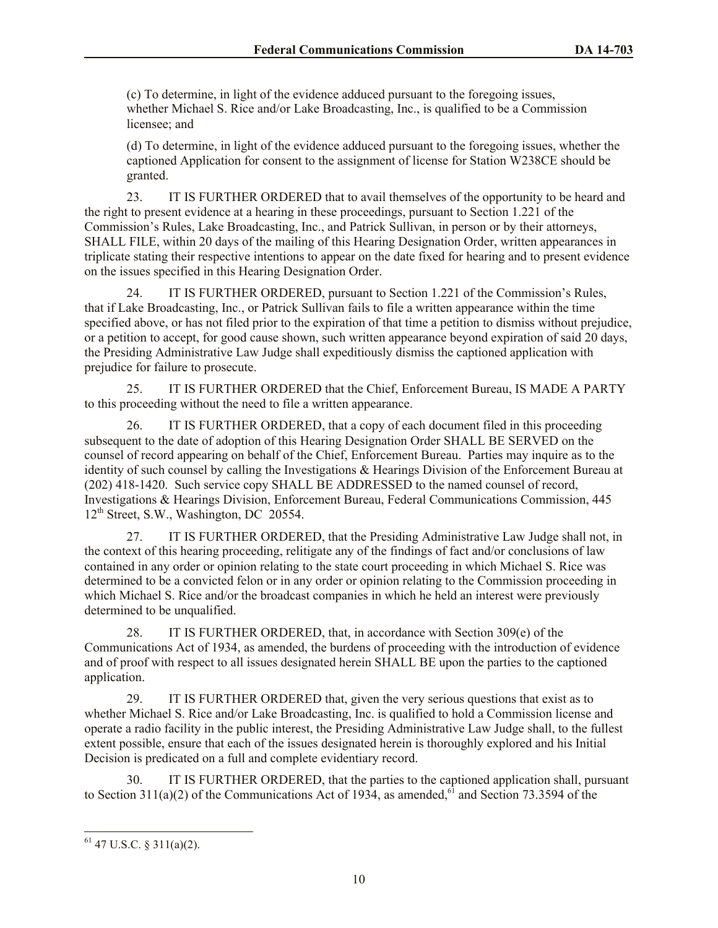(c) To determine, in light of the evidence adduced pursuant to the foregoing issues, whether Michael S. Rice and/or Lake Broadcasting, Inc., is qualified to be a Commission licensee; and

(d) To determine, in light of the evidence adduced pursuant to the foregoing issues, whether the captioned Application for consent to the assignment of license for Station W238CE should be granted.

23. IT IS FURTHER ORDERED that to avail themselves of the opportunity to be heard and the right to present evidence at a hearing in these proceedings, pursuant to Section 1.221 of the Commission's Rules, Lake Broadcasting, Inc., and Patrick Sullivan, in person or by their attorneys, SHALL FILE, within 20 days of the mailing of this Hearing Designation Order, written appearances in triplicate stating their respective intentions to appear on the date fixed for hearing and to present evidence on the issues specified in this Hearing Designation Order.

24. IT IS FURTHER ORDERED, pursuant to Section 1.221 of the Commission's Rules, that if Lake Broadcasting, Inc., or Patrick Sullivan fails to file a written appearance within the time specified above, or has not filed prior to the expiration of that time a petition to dismiss without prejudice, or a petition to accept, for good cause shown, such written appearance beyond expiration of said 20 days, the Presiding Administrative Law Judge shall expeditiously dismiss the captioned application with prejudice for failure to prosecute.

25. IT IS FURTHER ORDERED that the Chief, Enforcement Bureau, IS MADE A PARTY to this proceeding without the need to file a written appearance.

26. IT IS FURTHER ORDERED, that a copy of each document filed in this proceeding subsequent to the date of adoption of this Hearing Designation Order SHALL BE SERVED on the counsel of record appearing on behalf of the Chief, Enforcement Bureau. Parties may inquire as to the identity of such counsel by calling the Investigations & Hearings Division of the Enforcement Bureau at (202) 418-1420. Such service copy SHALL BE ADDRESSED to the named counsel of record, Investigations & Hearings Division, Enforcement Bureau, Federal Communications Commission, 445 12<sup>th</sup> Street, S.W., Washington, DC 20554.

27. IT IS FURTHER ORDERED, that the Presiding Administrative Law Judge shall not, in the context of this hearing proceeding, relitigate any of the findings of fact and/or conclusions of law contained in any order or opinion relating to the state court proceeding in which Michael S. Rice was determined to be a convicted felon or in any order or opinion relating to the Commission proceeding in which Michael S. Rice and/or the broadcast companies in which he held an interest were previously determined to be unqualified.

28. IT IS FURTHER ORDERED, that, in accordance with Section 309(e) of the Communications Act of 1934, as amended, the burdens of proceeding with the introduction of evidence and of proof with respect to all issues designated herein SHALL BE upon the parties to the captioned application.

29. IT IS FURTHER ORDERED that, given the very serious questions that exist as to whether Michael S. Rice and/or Lake Broadcasting, Inc. is qualified to hold a Commission license and operate a radio facility in the public interest, the Presiding Administrative Law Judge shall, to the fullest extent possible, ensure that each of the issues designated herein is thoroughly explored and his Initial Decision is predicated on a full and complete evidentiary record.

30. IT IS FURTHER ORDERED, that the parties to the captioned application shall, pursuant to Section 311(a)(2) of the Communications Act of 1934, as amended,<sup>61</sup> and Section 73.3594 of the

 $61$  47 U.S.C. § 311(a)(2).